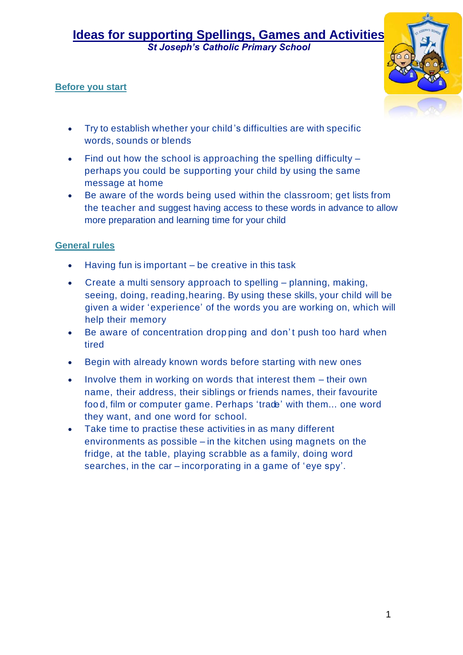*St Joseph's Catholic Primary School* 

#### **Before you start**



- Try to establish whether your child 's difficulties are with specific words, sounds or blends
- Find out how the school is approaching the spelling difficulty perhaps you could be supporting your child by using the same message at home
- Be aware of the words being used within the classroom; get lists from the teacher and suggest having access to these words in advance to allow more preparation and learning time for your child

#### **General rules**

- Having fun is important  $-$  be creative in this task
- Create a multi sensory approach to spelling planning, making, seeing, doing, reading,hearing. By using these skills, your child will be given a wider 'experience' of the words you are working on, which will help their memory
- Be aware of concentration drop ping and don't push too hard when tired
- Begin with already known words before starting with new ones
- Involve them in working on words that interest them their own name, their address, their siblings or friends names, their favourite foo d, film or computer game. Perhaps 'trade' with them... one word they want, and one word for school.
- Take time to practise these activities in as many different environments as possible – in the kitchen using magnets on the fridge, at the table, playing scrabble as a family, doing word searches, in the car – incorporating in a game of 'eye spy'.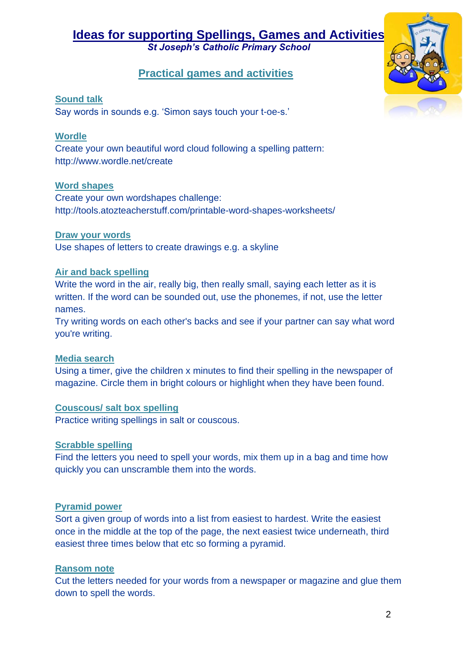*St Joseph's Catholic Primary School* 

#### **Practical games and activities**



#### **Sound talk**

Say words in sounds e.g. 'Simon says touch your t-oe-s.'

#### **Wordle**

Create your own beautiful word cloud following a spelling pattern: http://www.wordle.net/create

#### **Word shapes**

Create your own wordshapes challenge: http://tools.atozteacherstuff.com/printable-word-shapes-worksheets/

#### **Draw your words**

Use shapes of letters to create drawings e.g. a skyline

#### **Air and back spelling**

Write the word in the air, really big, then really small, saying each letter as it is written. If the word can be sounded out, use the phonemes, if not, use the letter names.

Try writing words on each other's backs and see if your partner can say what word you're writing.

#### **Media search**

Using a timer, give the children x minutes to find their spelling in the newspaper of magazine. Circle them in bright colours or highlight when they have been found.

#### **Couscous/ salt box spelling**

Practice writing spellings in salt or couscous.

#### **Scrabble spelling**

Find the letters you need to spell your words, mix them up in a bag and time how quickly you can unscramble them into the words.

#### **Pyramid power**

Sort a given group of words into a list from easiest to hardest. Write the easiest once in the middle at the top of the page, the next easiest twice underneath, third easiest three times below that etc so forming a pyramid.

#### **Ransom note**

Cut the letters needed for your words from a newspaper or magazine and glue them down to spell the words.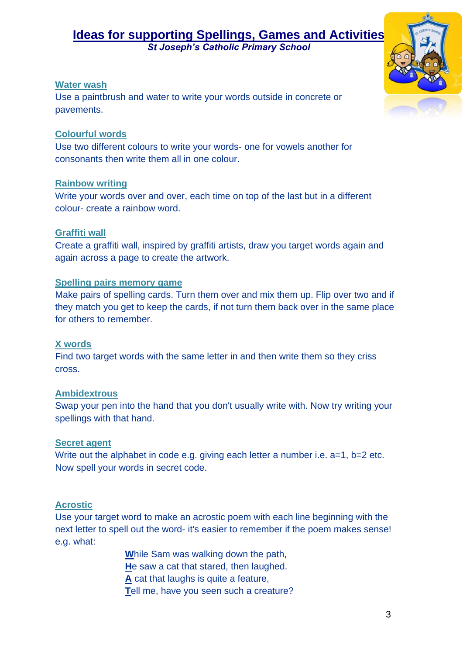*St Joseph's Catholic Primary School* 

#### **Water wash**

Use a paintbrush and water to write your words outside in concrete or pavements.

#### **Colourful words**

Use two different colours to write your words- one for vowels another for consonants then write them all in one colour.

#### **Rainbow writing**

Write your words over and over, each time on top of the last but in a different colour- create a rainbow word.

#### **Graffiti wall**

Create a graffiti wall, inspired by graffiti artists, draw you target words again and again across a page to create the artwork.

#### **Spelling pairs memory game**

Make pairs of spelling cards. Turn them over and mix them up. Flip over two and if they match you get to keep the cards, if not turn them back over in the same place for others to remember.

#### **X words**

Find two target words with the same letter in and then write them so they criss cross.

#### **Ambidextrous**

Swap your pen into the hand that you don't usually write with. Now try writing your spellings with that hand.

#### **Secret agent**

Write out the alphabet in code e.g. giving each letter a number i.e. a=1, b=2 etc. Now spell your words in secret code.

#### **Acrostic**

Use your target word to make an acrostic poem with each line beginning with the next letter to spell out the word- it's easier to remember if the poem makes sense! e.g. what:

**W**hile Sam was walking down the path,

**H**e saw a cat that stared, then laughed.

**A** cat that laughs is quite a feature,

**T**ell me, have you seen such a creature?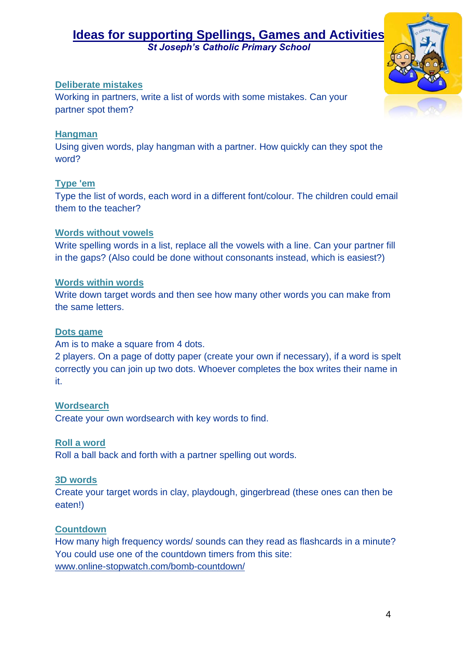*St Joseph's Catholic Primary School* 

#### **Deliberate mistakes**

Working in partners, write a list of words with some mistakes. Can your partner spot them?

#### **Hangman**

Using given words, play hangman with a partner. How quickly can they spot the word?

#### **Type 'em**

Type the list of words, each word in a different font/colour. The children could email them to the teacher?

#### **Words without vowels**

Write spelling words in a list, replace all the vowels with a line. Can your partner fill in the gaps? (Also could be done without consonants instead, which is easiest?)

#### **Words within words**

Write down target words and then see how many other words you can make from the same letters.

#### **Dots game**

Am is to make a square from 4 dots.

2 players. On a page of dotty paper (create your own if necessary), if a word is spelt correctly you can join up two dots. Whoever completes the box writes their name in it.

#### **Wordsearch**

Create your own wordsearch with key words to find.

#### **Roll a word**

Roll a ball back and forth with a partner spelling out words.

#### **3D words**

Create your target words in clay, playdough, gingerbread (these ones can then be eaten!)

#### **Countdown**

How many high frequency words/ sounds can they read as flashcards in a minute? You could use one of the countdown timers from this site: [www.online-stopwatch.com/bomb-countdown/](http://www.online-stopwatch.com/bomb-countdown/)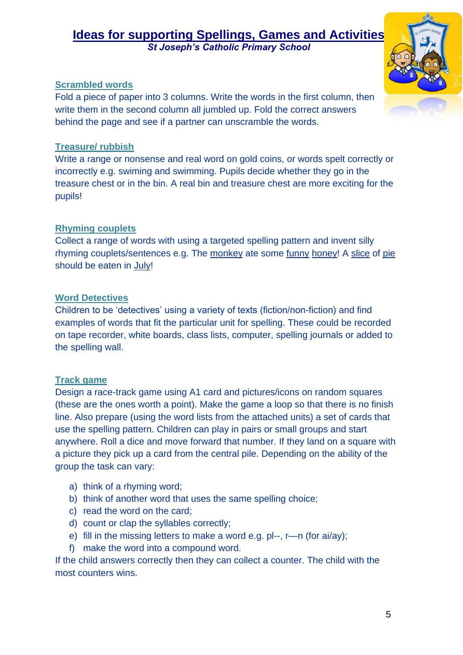*St Joseph's Catholic Primary School* 

#### **Scrambled words**

Fold a piece of paper into 3 columns. Write the words in the first column, then write them in the second column all jumbled up. Fold the correct answers behind the page and see if a partner can unscramble the words.

#### **Treasure/ rubbish**

Write a range or nonsense and real word on gold coins, or words spelt correctly or incorrectly e.g. swiming and swimming. Pupils decide whether they go in the treasure chest or in the bin. A real bin and treasure chest are more exciting for the pupils!

#### **Rhyming couplets**

Collect a range of words with using a targeted spelling pattern and invent silly rhyming couplets/sentences e.g. The monkey ate some funny honey! A slice of pie should be eaten in July!

#### **Word Detectives**

Children to be 'detectives' using a variety of texts (fiction/non-fiction) and find examples of words that fit the particular unit for spelling. These could be recorded on tape recorder, white boards, class lists, computer, spelling journals or added to the spelling wall.

#### **Track game**

Design a race-track game using A1 card and pictures/icons on random squares (these are the ones worth a point). Make the game a loop so that there is no finish line. Also prepare (using the word lists from the attached units) a set of cards that use the spelling pattern. Children can play in pairs or small groups and start anywhere. Roll a dice and move forward that number. If they land on a square with a picture they pick up a card from the central pile. Depending on the ability of the group the task can vary:

- a) think of a rhyming word;
- b) think of another word that uses the same spelling choice;
- c) read the word on the card;
- d) count or clap the syllables correctly;
- e) fill in the missing letters to make a word e.g. pl--, r—n (for ai/ay);
- f) make the word into a compound word.

If the child answers correctly then they can collect a counter. The child with the most counters wins.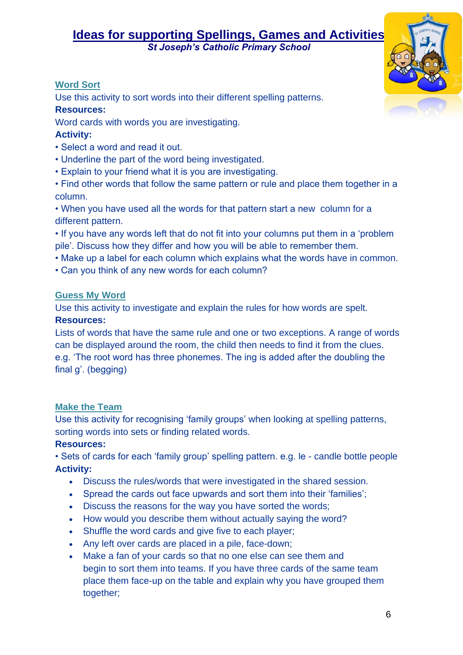*St Joseph's Catholic Primary School* 

#### **Word Sort**

Use this activity to sort words into their different spelling patterns.

#### **Resources:**

Word cards with words you are investigating.

#### **Activity:**

- Select a word and read it out.
- Underline the part of the word being investigated.
- Explain to your friend what it is you are investigating.
- Find other words that follow the same pattern or rule and place them together in a column.

• When you have used all the words for that pattern start a new column for a different pattern.

• If you have any words left that do not fit into your columns put them in a 'problem pile'. Discuss how they differ and how you will be able to remember them.

- Make up a label for each column which explains what the words have in common.
- Can you think of any new words for each column?

#### **Guess My Word**

Use this activity to investigate and explain the rules for how words are spelt.

#### **Resources:**

Lists of words that have the same rule and one or two exceptions. A range of words can be displayed around the room, the child then needs to find it from the clues. e.g. 'The root word has three phonemes. The ing is added after the doubling the final g'. (begging)

#### **Make the Team**

Use this activity for recognising 'family groups' when looking at spelling patterns, sorting words into sets or finding related words.

#### **Resources:**

• Sets of cards for each 'family group' spelling pattern. e.g. le - candle bottle people **Activity:** 

- Discuss the rules/words that were investigated in the shared session.
- Spread the cards out face upwards and sort them into their 'families';
- Discuss the reasons for the way you have sorted the words;
- How would you describe them without actually saying the word?
- Shuffle the word cards and give five to each player;
- Any left over cards are placed in a pile, face-down;
- Make a fan of your cards so that no one else can see them and begin to sort them into teams. If you have three cards of the same team place them face-up on the table and explain why you have grouped them together: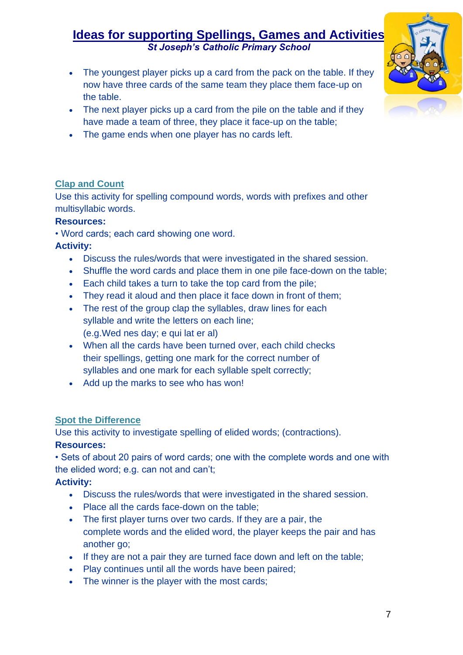*St Joseph's Catholic Primary School* 

- The youngest player picks up a card from the pack on the table. If they now have three cards of the same team they place them face-up on the table.
- The next player picks up a card from the pile on the table and if they have made a team of three, they place it face-up on the table;
- The game ends when one player has no cards left.

#### **Clap and Count**

Use this activity for spelling compound words, words with prefixes and other multisyllabic words.

#### **Resources:**

• Word cards; each card showing one word.

#### **Activity:**

- Discuss the rules/words that were investigated in the shared session.
- Shuffle the word cards and place them in one pile face-down on the table;
- Each child takes a turn to take the top card from the pile;
- They read it aloud and then place it face down in front of them;
- The rest of the group clap the syllables, draw lines for each syllable and write the letters on each line; (e.g.Wed nes day; e qui lat er al)
- When all the cards have been turned over, each child checks their spellings, getting one mark for the correct number of syllables and one mark for each syllable spelt correctly;
- Add up the marks to see who has won!

#### **Spot the Difference**

Use this activity to investigate spelling of elided words; (contractions). **Resources:** 

• Sets of about 20 pairs of word cards; one with the complete words and one with the elided word; e.g. can not and can't;

#### **Activity:**

- Discuss the rules/words that were investigated in the shared session.
- Place all the cards face-down on the table;
- The first player turns over two cards. If they are a pair, the complete words and the elided word, the player keeps the pair and has another go;
- If they are not a pair they are turned face down and left on the table;
- Play continues until all the words have been paired;
- The winner is the player with the most cards;



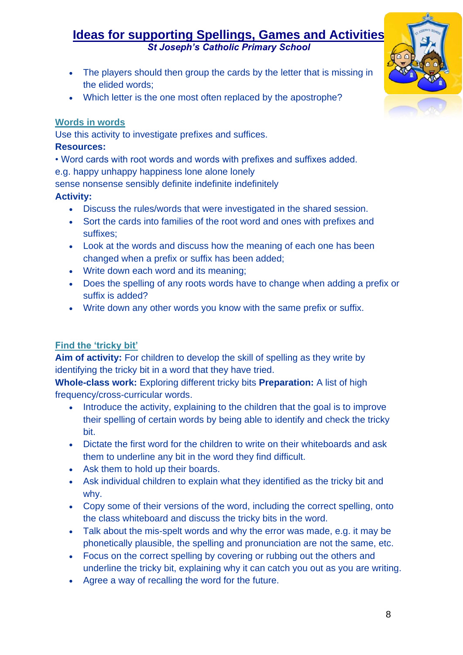*St Joseph's Catholic Primary School* 

- The players should then group the cards by the letter that is missing in the elided words;
- Which letter is the one most often replaced by the apostrophe?

#### **Words in words**

Use this activity to investigate prefixes and suffices.

#### **Resources:**

- Word cards with root words and words with prefixes and suffixes added.
- e.g. happy unhappy happiness lone alone lonely

sense nonsense sensibly definite indefinite indefinitely

#### **Activity:**

- Discuss the rules/words that were investigated in the shared session.
- Sort the cards into families of the root word and ones with prefixes and suffixes;
- Look at the words and discuss how the meaning of each one has been changed when a prefix or suffix has been added;
- Write down each word and its meaning;
- Does the spelling of any roots words have to change when adding a prefix or suffix is added?
- Write down any other words you know with the same prefix or suffix.

#### **Find the 'tricky bit'**

**Aim of activity:** For children to develop the skill of spelling as they write by identifying the tricky bit in a word that they have tried.

**Whole-class work:** Exploring different tricky bits **Preparation:** A list of high frequency/cross-curricular words.

- Introduce the activity, explaining to the children that the goal is to improve their spelling of certain words by being able to identify and check the tricky bit.
- Dictate the first word for the children to write on their whiteboards and ask them to underline any bit in the word they find difficult.
- Ask them to hold up their boards.
- Ask individual children to explain what they identified as the tricky bit and why.
- Copy some of their versions of the word, including the correct spelling, onto the class whiteboard and discuss the tricky bits in the word.
- Talk about the mis-spelt words and why the error was made, e.g. it may be phonetically plausible, the spelling and pronunciation are not the same, etc.
- Focus on the correct spelling by covering or rubbing out the others and underline the tricky bit, explaining why it can catch you out as you are writing.
- Agree a way of recalling the word for the future.